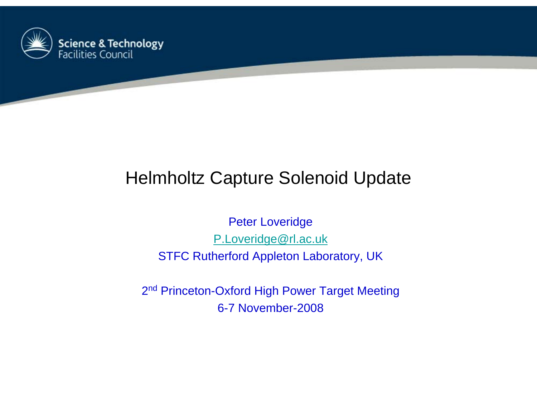

# Helmholtz Capture Solenoid Update

Peter Loveridge P.Loveridge@rl.ac.uk STFC Rutherford Appleton Laboratory, UK

2<sup>nd</sup> Princeton-Oxford High Power Target Meeting 6-7 November-2008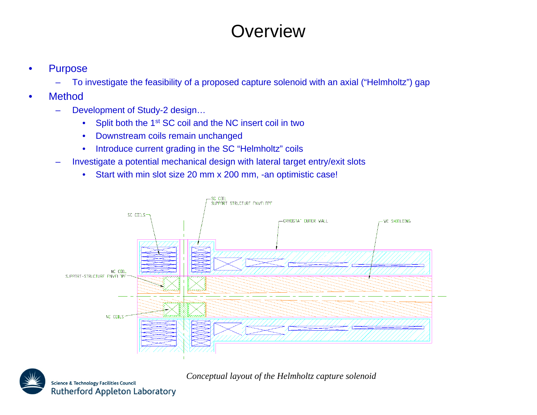## **Overview**

- • Purpose
	- To investigate the feasibility of a proposed capture solenoid with an axial ("Helmholtz") gap
- • Method
	- – Development of Study-2 design…
		- •Split both the 1<sup>st</sup> SC coil and the NC insert coil in two
		- •Downstream coils remain unchanged
		- $\bullet$ Introduce current grading in the SC "Helmholtz" coils
	- – Investigate a potential mechanical design with lateral target entry/exit slots
		- •Start with min slot size 20 mm x 200 mm, -an optimistic case!





*Conceptual layout of the Helmholtz capture solenoid*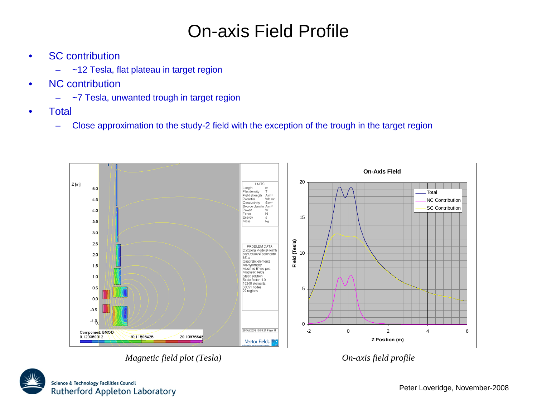## On-axis Field Profile

- • SC contribution
	- ~12 Tesla, flat plateau in target region
- • NC contribution
	- –~7 Tesla, unwanted trough in target region
- •**Total** 
	- –Close approximation to the study-2 field with the exception of the trough in the target region



*Magnetic field plot (Tesla) On-axis field profile*

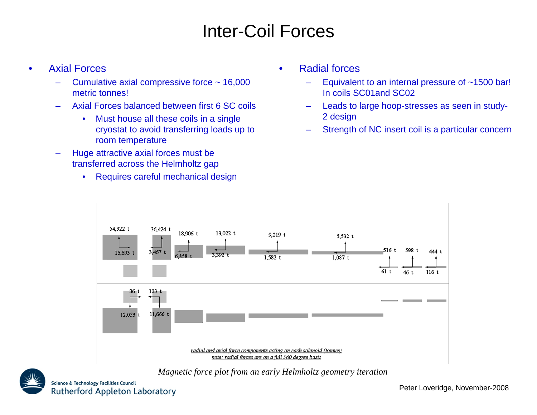## Inter-Coil Forces

#### •Axial Forces

- Cumulative axial compressive force ~ 16,000 metric tonnes!
- Axial Forces balanced between first 6 SC coils
	- $\bullet$  Must house all these coils in a single cryostat to avoid transferring loads up to room temperature
- Huge attractive axial forces must be transferred across the Helmholtz gap
	- $\bullet$ Requires careful mechanical design
- • Radial forces
	- Equivalent to an internal pressure of ~1500 bar! In coils SC01and SC02
	- Leads to large hoop-stresses as seen in study-2 design
	- Strength of NC insert coil is a particular concern



*Magnetic force plot from an early Helmholtz geometry iteration*



Peter Loveridge, November-2008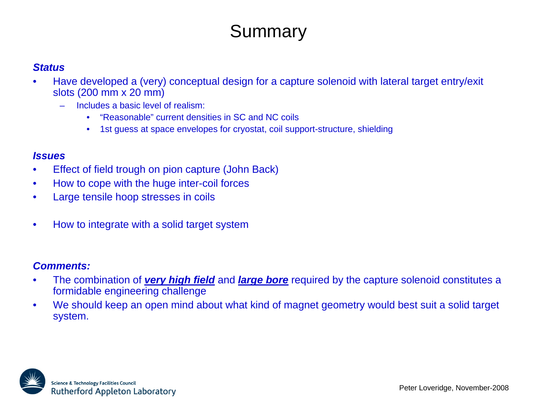## **Summary**

### *Status*

- • Have developed a (very) conceptual design for a capture solenoid with lateral target entry/exit slots (200 mm x 20 mm)
	- Includes a basic level of realism:
		- •"Reasonable" current densities in SC and NC coils
		- •1st guess at space envelopes for cryostat, coil support-structure, shielding

### *Issues*

- •Effect of field trough on pion capture (John Back)
- $\bullet$ How to cope with the huge inter-coil forces
- •Large tensile hoop stresses in coils
- •How to integrate with a solid target system

### *Comments:*

- • The combination of *very high field* and *large bore* required by the capture solenoid constitutes a formidable engineering challenge
- • We should keep an open mind about what kind of magnet geometry would best suit a solid target system.